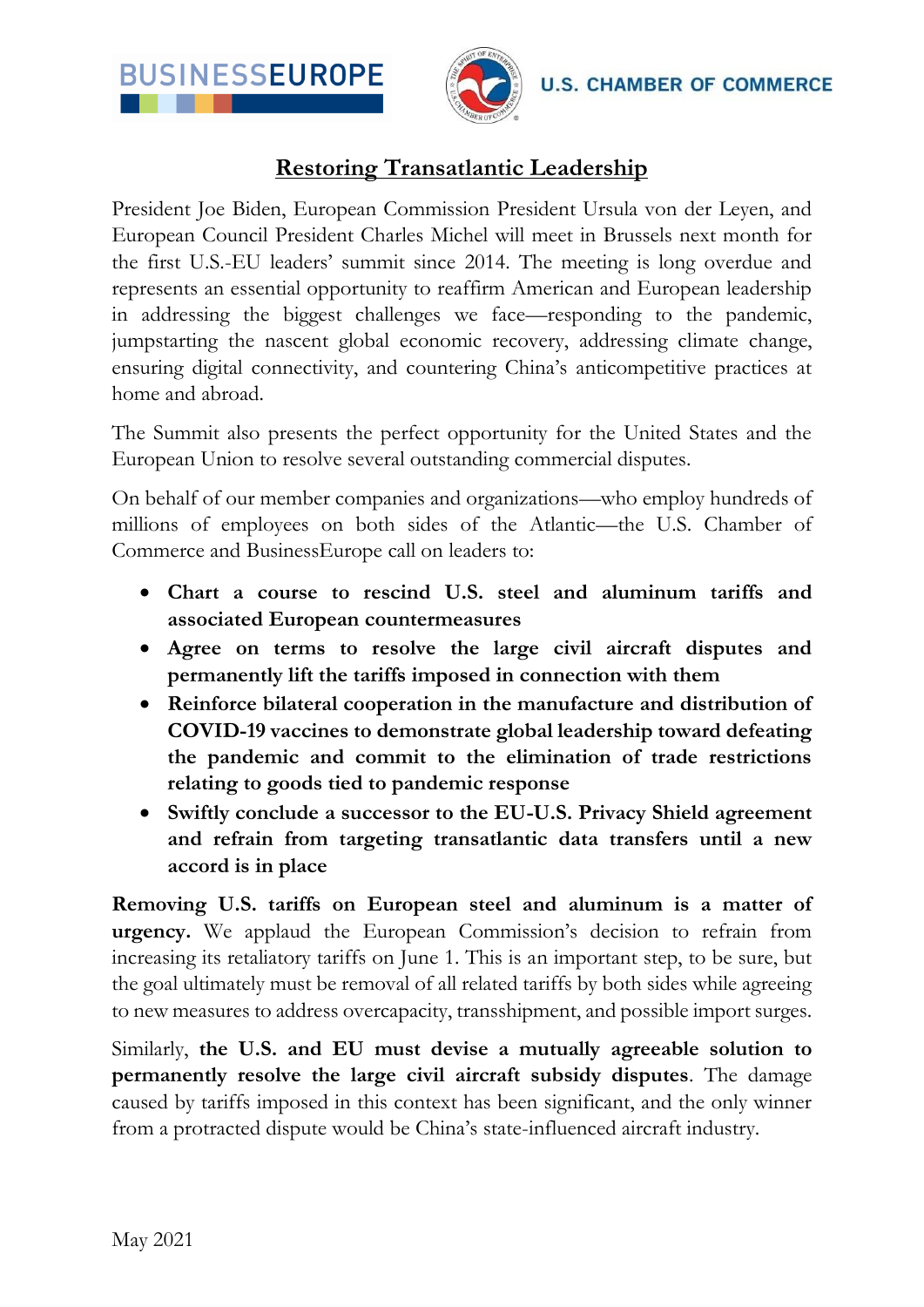



## **Restoring Transatlantic Leadership**

President Joe Biden, European Commission President Ursula von der Leyen, and European Council President Charles Michel will meet in Brussels next month for the first U.S.-EU leaders' summit since 2014. The meeting is long overdue and represents an essential opportunity to reaffirm American and European leadership in addressing the biggest challenges we face—responding to the pandemic, jumpstarting the nascent global economic recovery, addressing climate change, ensuring digital connectivity, and countering China's anticompetitive practices at home and abroad.

The Summit also presents the perfect opportunity for the United States and the European Union to resolve several outstanding commercial disputes.

On behalf of our member companies and organizations—who employ hundreds of millions of employees on both sides of the Atlantic—the U.S. Chamber of Commerce and BusinessEurope call on leaders to:

- **Chart a course to rescind U.S. steel and aluminum tariffs and associated European countermeasures**
- **Agree on terms to resolve the large civil aircraft disputes and permanently lift the tariffs imposed in connection with them**
- **Reinforce bilateral cooperation in the manufacture and distribution of COVID-19 vaccines to demonstrate global leadership toward defeating the pandemic and commit to the elimination of trade restrictions relating to goods tied to pandemic response**
- **Swiftly conclude a successor to the EU-U.S. Privacy Shield agreement and refrain from targeting transatlantic data transfers until a new accord is in place**

**Removing U.S. tariffs on European steel and aluminum is a matter of urgency.** We applaud the European Commission's decision to refrain from increasing its retaliatory tariffs on June 1. This is an important step, to be sure, but the goal ultimately must be removal of all related tariffs by both sides while agreeing to new measures to address overcapacity, transshipment, and possible import surges.

Similarly, **the U.S. and EU must devise a mutually agreeable solution to permanently resolve the large civil aircraft subsidy disputes**. The damage caused by tariffs imposed in this context has been significant, and the only winner from a protracted dispute would be China's state-influenced aircraft industry.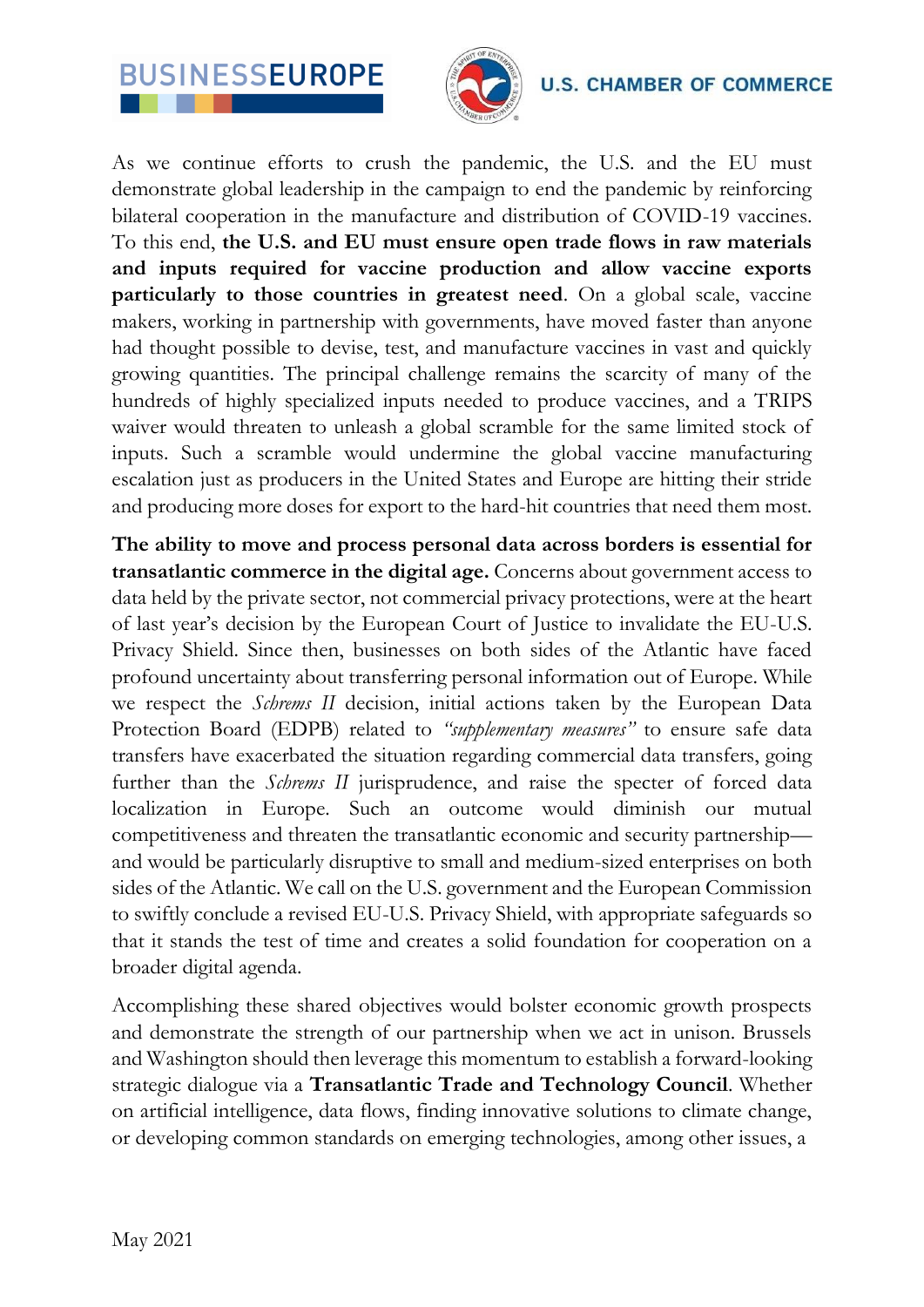



**U.S. CHAMBER OF COMMERCE** 

As we continue efforts to crush the pandemic, the U.S. and the EU must demonstrate global leadership in the campaign to end the pandemic by reinforcing bilateral cooperation in the manufacture and distribution of COVID-19 vaccines. To this end, **the U.S. and EU must ensure open trade flows in raw materials and inputs required for vaccine production and allow vaccine exports particularly to those countries in greatest need**. On a global scale, vaccine makers, working in partnership with governments, have moved faster than anyone had thought possible to devise, test, and manufacture vaccines in vast and quickly growing quantities. The principal challenge remains the scarcity of many of the hundreds of highly specialized inputs needed to produce vaccines, and a TRIPS waiver would threaten to unleash a global scramble for the same limited stock of inputs. Such a scramble would undermine the global vaccine manufacturing escalation just as producers in the United States and Europe are hitting their stride and producing more doses for export to the hard-hit countries that need them most.

**The ability to move and process personal data across borders is essential for transatlantic commerce in the digital age.** Concerns about government access to data held by the private sector, not commercial privacy protections, were at the heart of last year's decision by the European Court of Justice to invalidate the EU-U.S. Privacy Shield. Since then, businesses on both sides of the Atlantic have faced profound uncertainty about transferring personal information out of Europe. While we respect the *Schrems II* decision, initial actions taken by the European Data Protection Board (EDPB) related to *"supplementary measures"* to ensure safe data transfers have exacerbated the situation regarding commercial data transfers, going further than the *Schrems II* jurisprudence, and raise the specter of forced data localization in Europe. Such an outcome would diminish our mutual competitiveness and threaten the transatlantic economic and security partnership and would be particularly disruptive to small and medium-sized enterprises on both sides of the Atlantic. We call on the U.S. government and the European Commission to swiftly conclude a revised EU-U.S. Privacy Shield, with appropriate safeguards so that it stands the test of time and creates a solid foundation for cooperation on a broader digital agenda.

Accomplishing these shared objectives would bolster economic growth prospects and demonstrate the strength of our partnership when we act in unison. Brussels and Washington should then leverage this momentum to establish a forward-looking strategic dialogue via a **Transatlantic Trade and Technology Council**. Whether on artificial intelligence, data flows, finding innovative solutions to climate change, or developing common standards on emerging technologies, among other issues, a